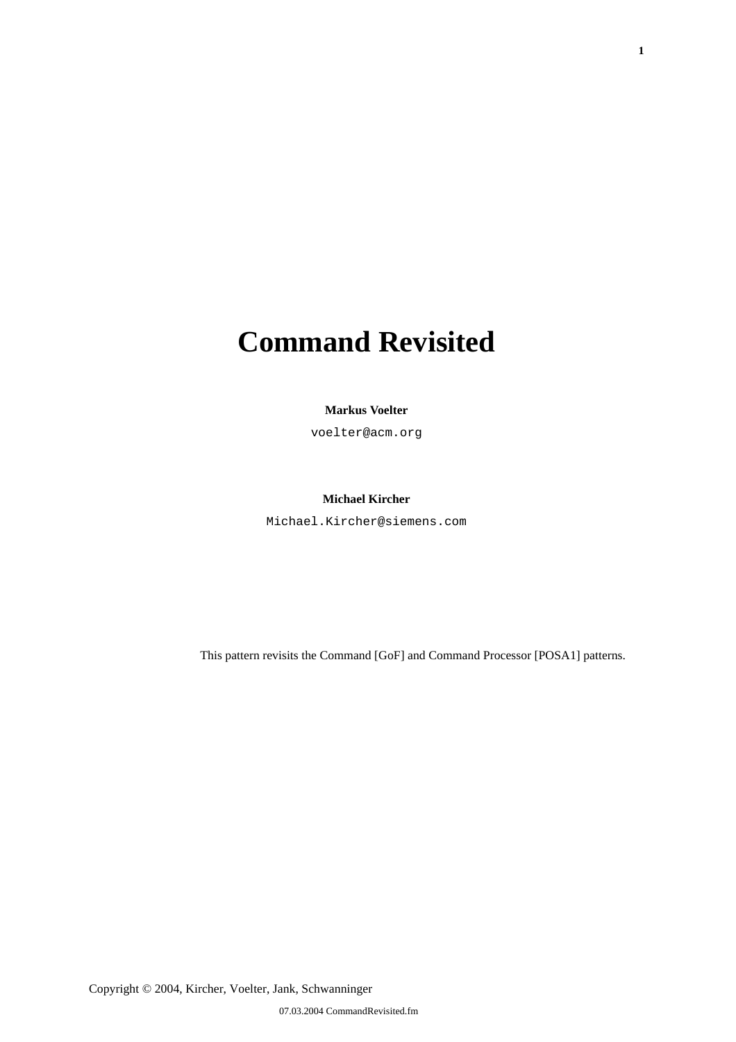# **Command Revisited**

#### **Markus Voelter**

voelter@acm.org

### **Michael Kircher**

Michael.Kircher@siemens.com

This pattern revisits the Command [GoF] and Command Processor [POSA1] patterns.

Copyright © 2004, Kircher, Voelter, Jank, Schwanninger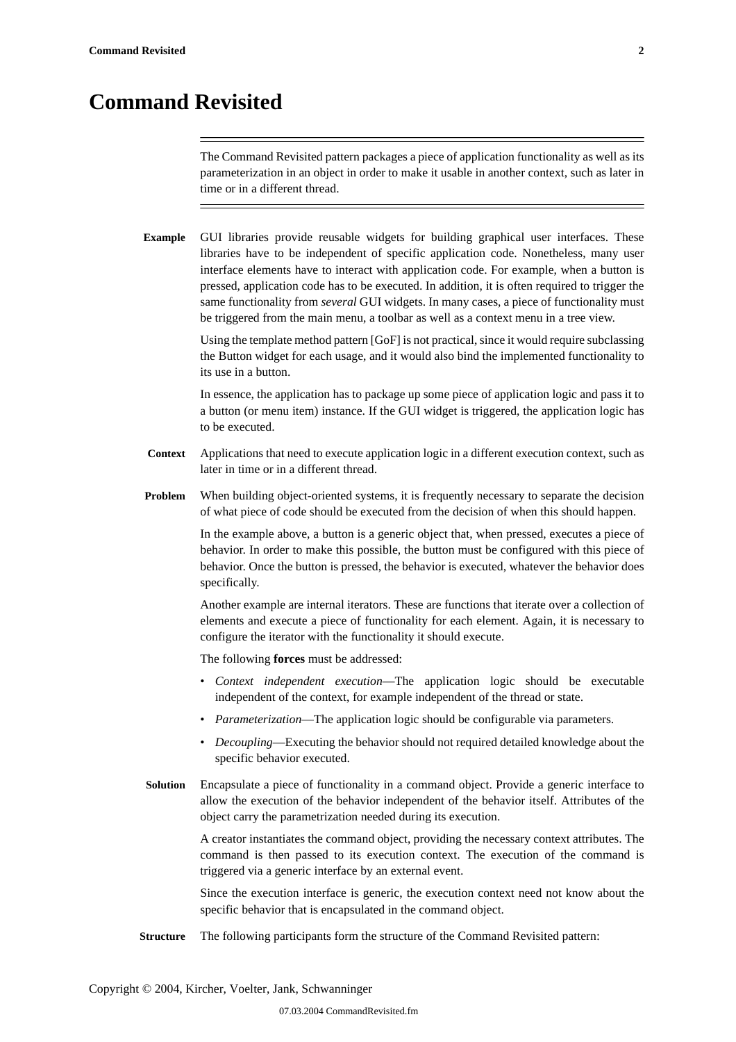# **Command Revisited**

The Command Revisited pattern packages a piece of application functionality as well as its parameterization in an object in order to make it usable in another context, such as later in time or in a different thread.

**Example** GUI libraries provide reusable widgets for building graphical user interfaces. These libraries have to be independent of specific application code. Nonetheless, many user interface elements have to interact with application code. For example, when a button is pressed, application code has to be executed. In addition, it is often required to trigger the same functionality from *several* GUI widgets. In many cases, a piece of functionality must be triggered from the main menu, a toolbar as well as a context menu in a tree view.

> Using the template method pattern [GoF] is not practical, since it would require subclassing the Button widget for each usage, and it would also bind the implemented functionality to its use in a button.

> In essence, the application has to package up some piece of application logic and pass it to a button (or menu item) instance. If the GUI widget is triggered, the application logic has to be executed.

- **Context** Applications that need to execute application logic in a different execution context, such as later in time or in a different thread.
- **Problem** When building object-oriented systems, it is frequently necessary to separate the decision of what piece of code should be executed from the decision of when this should happen.

In the example above, a button is a generic object that, when pressed, executes a piece of behavior. In order to make this possible, the button must be configured with this piece of behavior. Once the button is pressed, the behavior is executed, whatever the behavior does specifically.

Another example are internal iterators. These are functions that iterate over a collection of elements and execute a piece of functionality for each element. Again, it is necessary to configure the iterator with the functionality it should execute.

The following **forces** must be addressed:

- *Context independent execution*—The application logic should be executable independent of the context, for example independent of the thread or state.
- *Parameterization*—The application logic should be configurable via parameters.
- *Decoupling*—Executing the behavior should not required detailed knowledge about the specific behavior executed.
- **Solution** Encapsulate a piece of functionality in a command object. Provide a generic interface to allow the execution of the behavior independent of the behavior itself. Attributes of the object carry the parametrization needed during its execution.

A creator instantiates the command object, providing the necessary context attributes. The command is then passed to its execution context. The execution of the command is triggered via a generic interface by an external event.

Since the execution interface is generic, the execution context need not know about the specific behavior that is encapsulated in the command object.

**Structure** The following participants form the structure of the Command Revisited pattern: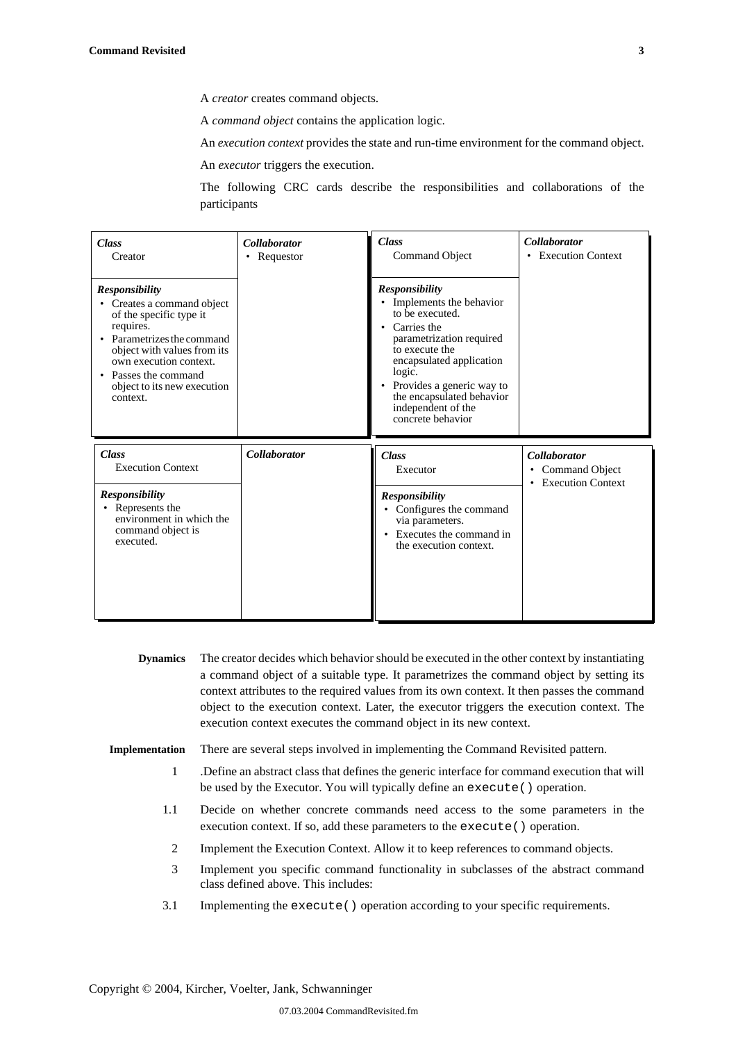A *creator* creates command objects.

A *command object* contains the application logic.

An *execution context* provides the state and run-time environment for the command object.

An *executor* triggers the execution.

The following CRC cards describe the responsibilities and collaborations of the participants

| <b>Class</b><br>Creator                                                                                                                                                                                                                                      | <b>Collaborator</b><br>Requestor<br>٠ | <b>Class</b><br>Command Object                                                                                                                                                                                                                                                  | <b>Collaborator</b><br>• Execution Context                     |
|--------------------------------------------------------------------------------------------------------------------------------------------------------------------------------------------------------------------------------------------------------------|---------------------------------------|---------------------------------------------------------------------------------------------------------------------------------------------------------------------------------------------------------------------------------------------------------------------------------|----------------------------------------------------------------|
| <b>Responsibility</b><br>Creates a command object<br>$\bullet$<br>of the specific type it<br>requires.<br>Parametrizes the command<br>object with values from its<br>own execution context.<br>Passes the command<br>object to its new execution<br>context. |                                       | <b>Responsibility</b><br>• Implements the behavior<br>to be executed.<br>• Carries the<br>parametrization required<br>to execute the<br>encapsulated application<br>logic.<br>Provides a generic way to<br>the encapsulated behavior<br>independent of the<br>concrete behavior |                                                                |
| <b>Class</b>                                                                                                                                                                                                                                                 |                                       |                                                                                                                                                                                                                                                                                 |                                                                |
| <b>Execution Context</b>                                                                                                                                                                                                                                     | Collaborator                          | <b>Class</b><br>Executor                                                                                                                                                                                                                                                        | <b>Collaborator</b><br>• Command Object<br>• Execution Context |

- **Dynamics** The creator decides which behavior should be executed in the other context by instantiating a command object of a suitable type. It parametrizes the command object by setting its context attributes to the required values from its own context. It then passes the command object to the execution context. Later, the executor triggers the execution context. The execution context executes the command object in its new context.
- **Implementation** There are several steps involved in implementing the Command Revisited pattern.
	- 1 .Define an abstract class that defines the generic interface for command execution that will be used by the Executor. You will typically define an execute() operation.
	- 1.1 Decide on whether concrete commands need access to the some parameters in the execution context. If so, add these parameters to the execute() operation.
		- 2 Implement the Execution Context. Allow it to keep references to command objects.
	- 3 Implement you specific command functionality in subclasses of the abstract command class defined above. This includes:
	- 3.1 Implementing the execute() operation according to your specific requirements.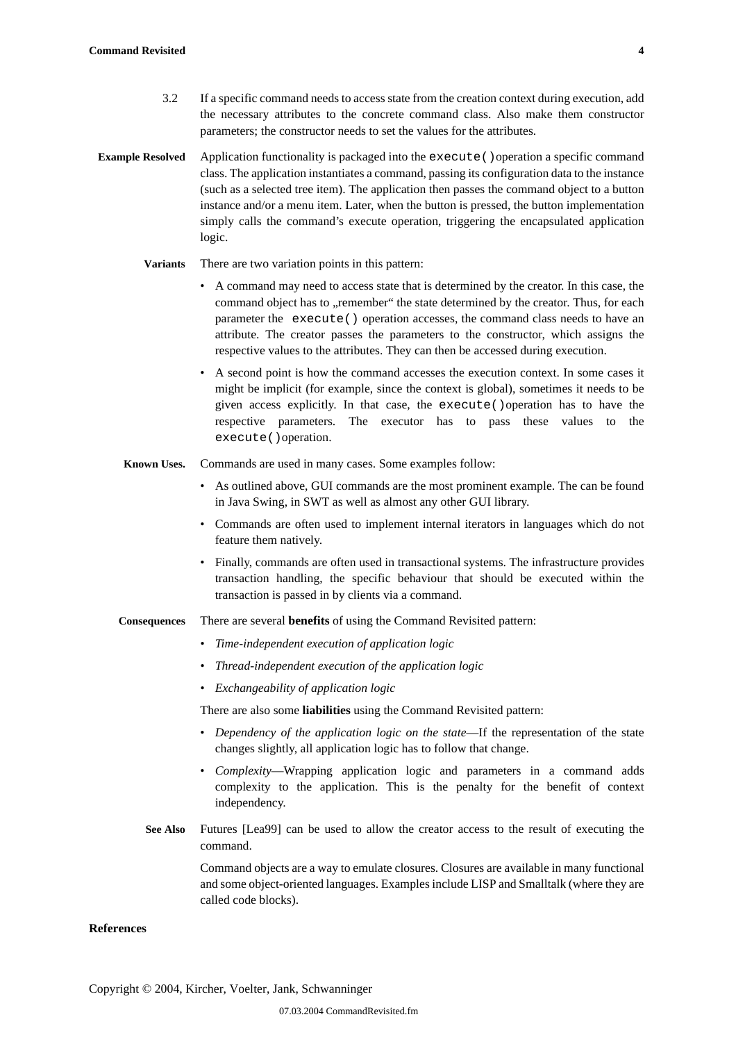- 3.2 If a specific command needs to access state from the creation context during execution, add the necessary attributes to the concrete command class. Also make them constructor parameters; the constructor needs to set the values for the attributes.
- **Example Resolved** Application functionality is packaged into the execute () operation a specific command class. The application instantiates a command, passing its configuration data to the instance (such as a selected tree item). The application then passes the command object to a button instance and/or a menu item. Later, when the button is pressed, the button implementation simply calls the command's execute operation, triggering the encapsulated application logic.

### **Variants** There are two variation points in this pattern:

- A command may need to access state that is determined by the creator. In this case, the command object has to "remember" the state determined by the creator. Thus, for each parameter the execute() operation accesses, the command class needs to have an attribute. The creator passes the parameters to the constructor, which assigns the respective values to the attributes. They can then be accessed during execution.
- A second point is how the command accesses the execution context. In some cases it might be implicit (for example, since the context is global), sometimes it needs to be given access explicitly. In that case, the execute()operation has to have the respective parameters. The executor has to pass these values to the execute()operation.
- **Known Uses.** Commands are used in many cases. Some examples follow:
	- As outlined above, GUI commands are the most prominent example. The can be found in Java Swing, in SWT as well as almost any other GUI library.
	- Commands are often used to implement internal iterators in languages which do not feature them natively.
	- Finally, commands are often used in transactional systems. The infrastructure provides transaction handling, the specific behaviour that should be executed within the transaction is passed in by clients via a command.
- **Consequences** There are several **benefits** of using the Command Revisited pattern:
	- *Time-independent execution of application logic*
	- *Thread-independent execution of the application logic*
	- *Exchangeability of application logic*

There are also some **liabilities** using the Command Revisited pattern:

- *Dependency of the application logic on the state*—If the representation of the state changes slightly, all application logic has to follow that change.
- *Complexity*—Wrapping application logic and parameters in a command adds complexity to the application. This is the penalty for the benefit of context independency.
- **See Also** Futures [Lea99] can be used to allow the creator access to the result of executing the command.

Command objects are a way to emulate closures. Closures are available in many functional and some object-oriented languages. Examples include LISP and Smalltalk (where they are called code blocks).

### **References**